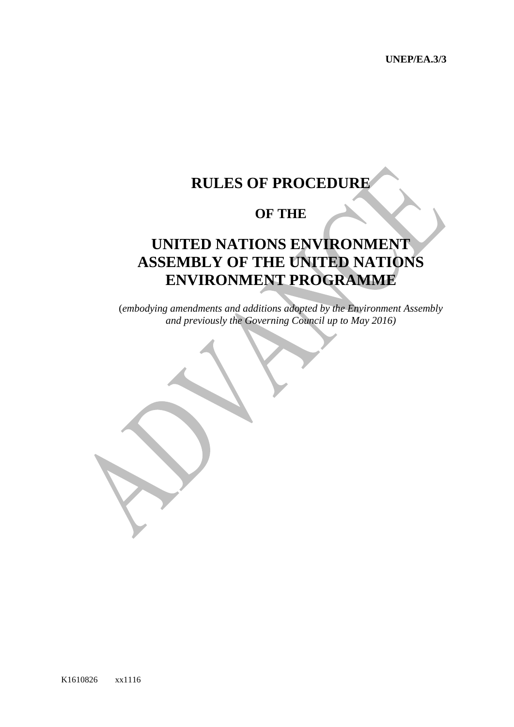**UNEP/EA.3/3**

# **RULES OF PROCEDURE**

# **OF THE**

# **UNITED NATIONS ENVIRONMENT ASSEMBLY OF THE UNITED NATIONS ENVIRONMENT PROGRAMME**

(*embodying amendments and additions adopted by the Environment Assembly and previously the Governing Council up to May 2016)*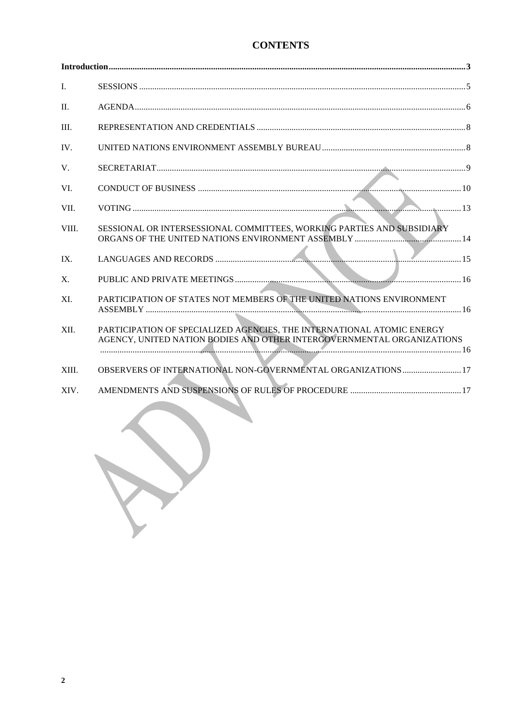## **CONTENTS**

| $Introduction           3$ |                                                                                                                                                  |
|----------------------------|--------------------------------------------------------------------------------------------------------------------------------------------------|
| $\mathbf{I}$ .             |                                                                                                                                                  |
| II.                        |                                                                                                                                                  |
| III.                       |                                                                                                                                                  |
| IV.                        |                                                                                                                                                  |
| V.                         |                                                                                                                                                  |
| VI.                        |                                                                                                                                                  |
| VII.                       |                                                                                                                                                  |
| VIII.                      | SESSIONAL OR INTERSESSIONAL COMMITTEES, WORKING PARTIES AND SUBSIDIARY                                                                           |
| $IX_{-}$                   |                                                                                                                                                  |
| X.                         |                                                                                                                                                  |
| XI.                        | PARTICIPATION OF STATES NOT MEMBERS OF THE UNITED NATIONS ENVIRONMENT                                                                            |
| XII.                       | PARTICIPATION OF SPECIALIZED AGENCIES, THE INTERNATIONAL ATOMIC ENERGY<br>AGENCY, UNITED NATION BODIES AND OTHER INTERGOVERNMENTAL ORGANIZATIONS |
| XIII.                      | OBSERVERS OF INTERNATIONAL NON-GOVERNMENTAL ORGANIZATIONS 17                                                                                     |
| XIV.                       |                                                                                                                                                  |
|                            |                                                                                                                                                  |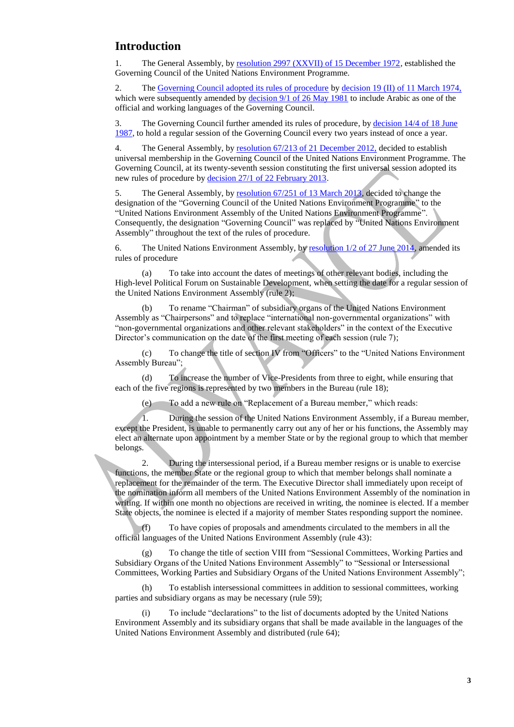## <span id="page-2-0"></span>**Introduction**

1. The General Assembly, by [resolution 2997 \(XXVII\) of 15 December 1972,](http://www.un-documents.net/a27r2997.htm) established the Governing Council of the United Nations Environment Programme.

2. Th[e Governing Council adopted its rules of procedure](https://documents-dds-ny.un.org/doc/UNDOC/GEN/K73/121/40/img/K7312140.pdf?OpenElement) by [decision 19 \(II\) of 11 March 1974,](https://documents-dds-ny.un.org/doc/UNDOC/GEN/K74/096/25/img/K7409625.pdf?OpenElement) which were subsequently amended by [decision 9/1 of 26 May 1981](https://documents-dds-ny.un.org/doc/UNDOC/GEN/K81/036/35/img/K8103635.pdf?OpenElement) to include Arabic as one of the official and working languages of the Governing Council.

3. The Governing Council further amended its rules of procedure, b[y decision 14/4 of 18 June](https://documents-dds-ny.un.org/doc/UNDOC/GEN/N87/232/50/img/N8723250.pdf?OpenElement)  [1987,](https://documents-dds-ny.un.org/doc/UNDOC/GEN/N87/232/50/img/N8723250.pdf?OpenElement) to hold a regular session of the Governing Council every two years instead of once a year.

4. The General Assembly, by [resolution 67/213 of 21 December 2012,](http://www.un.org/en/ga/search/view_doc.asp?symbol=A/RES/67/213) decided to establish universal membership in the Governing Council of the United Nations Environment Programme. The Governing Council, at its twenty-seventh session constituting the first universal session adopted its new rules of procedure by [decision 27/1 of 22 February 2013.](https://documents-dds-ny.un.org/doc/UNDOC/GEN/K13/509/45/pdf/K1350945.pdf?OpenElement)

5. The General Assembly, by [resolution 67/251 of 13 March 2013,](http://www.un.org/en/ga/search/view_doc.asp?symbol=A/RES/67/251) decided to change the designation of the "Governing Council of the United Nations Environment Programme" to the "United Nations Environment Assembly of the United Nations Environment Programme". Consequently, the designation "Governing Council" was replaced by "United Nations Environment Assembly" throughout the text of the rules of procedure.

6. The United Nations Environment Assembly, by [resolution 1/2 of 27 June 2014,](https://documents-dds-ny.un.org/doc/UNDOC/GEN/K14/024/81/pdf/K1402481.pdf?OpenElement) amended its rules of procedure

(a) To take into account the dates of meetings of other relevant bodies, including the High-level Political Forum on Sustainable Development, when setting the date for a regular session of the United Nations Environment Assembly (rule 2);

To rename "Chairman" of subsidiary organs of the United Nations Environment Assembly as "Chairpersons" and to replace "international non-governmental organizations" with "non-governmental organizations and other relevant stakeholders" in the context of the Executive Director's communication on the date of the first meeting of each session (rule 7);

(c) To change the title of section IV from "Officers" to the "United Nations Environment Assembly Bureau";

(d) To increase the number of Vice-Presidents from three to eight, while ensuring that each of the five regions is represented by two members in the Bureau (rule 18);

(e) To add a new rule on "Replacement of a Bureau member," which reads:

1. During the session of the United Nations Environment Assembly, if a Bureau member, except the President, is unable to permanently carry out any of her or his functions, the Assembly may elect an alternate upon appointment by a member State or by the regional group to which that member belongs.

2. During the intersessional period, if a Bureau member resigns or is unable to exercise functions, the member State or the regional group to which that member belongs shall nominate a replacement for the remainder of the term. The Executive Director shall immediately upon receipt of the nomination inform all members of the United Nations Environment Assembly of the nomination in writing. If within one month no objections are received in writing, the nominee is elected. If a member State objects, the nominee is elected if a majority of member States responding support the nominee.

(f) To have copies of proposals and amendments circulated to the members in all the official languages of the United Nations Environment Assembly (rule 43):

(g) To change the title of section VIII from "Sessional Committees, Working Parties and Subsidiary Organs of the United Nations Environment Assembly" to "Sessional or Intersessional Committees, Working Parties and Subsidiary Organs of the United Nations Environment Assembly";

(h) To establish intersessional committees in addition to sessional committees, working parties and subsidiary organs as may be necessary (rule 59);

(i) To include "declarations" to the list of documents adopted by the United Nations Environment Assembly and its subsidiary organs that shall be made available in the languages of the United Nations Environment Assembly and distributed (rule 64);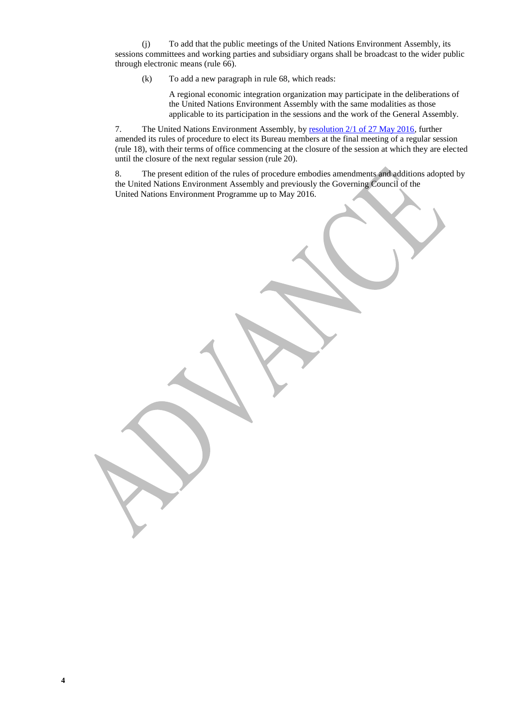(j) To add that the public meetings of the United Nations Environment Assembly, its sessions committees and working parties and subsidiary organs shall be broadcast to the wider public through electronic means (rule 66).

(k) To add a new paragraph in rule 68, which reads:

A regional economic integration organization may participate in the deliberations of the United Nations Environment Assembly with the same modalities as those applicable to its participation in the sessions and the work of the General Assembly.

7. The United Nations Environment Assembly, by [resolution 2/1 of 27 May 2016,](https://documents-dds-ny.un.org/doc/UNDOC/GEN/K16/071/13/pdf/K1607113.pdf?OpenElement) further amended its rules of procedure to elect its Bureau members at the final meeting of a regular session (rule 18), with their terms of office commencing at the closure of the session at which they are elected until the closure of the next regular session (rule 20).

8. The present edition of the rules of procedure embodies amendments and additions adopted by the United Nations Environment Assembly and previously the Governing Council of the United Nations Environment Programme up to May 2016.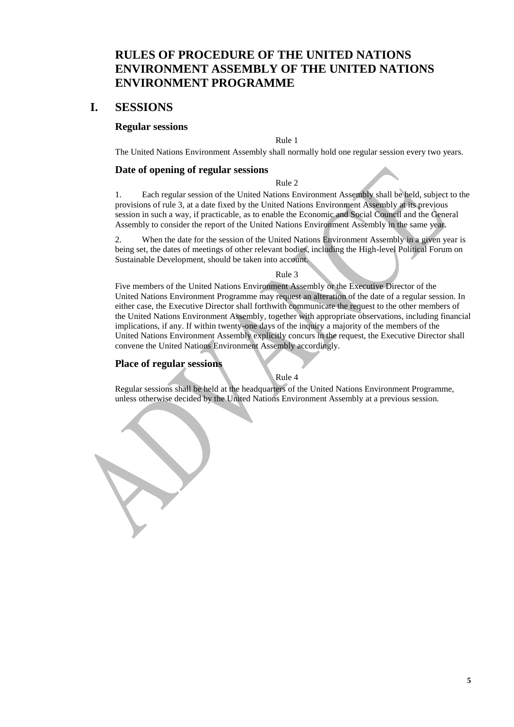## **RULES OF PROCEDURE OF THE UNITED NATIONS ENVIRONMENT ASSEMBLY OF THE UNITED NATIONS ENVIRONMENT PROGRAMME**

## <span id="page-4-0"></span>**I. SESSIONS**

## **Regular sessions**

Rule 1

The United Nations Environment Assembly shall normally hold one regular session every two years.

### **Date of opening of regular sessions**

Rule 2

1. Each regular session of the United Nations Environment Assembly shall be held, subject to the provisions of rule 3, at a date fixed by the United Nations Environment Assembly at its previous session in such a way, if practicable, as to enable the Economic and Social Council and the General Assembly to consider the report of the United Nations Environment Assembly in the same year.

2. When the date for the session of the United Nations Environment Assembly in a given year is being set, the dates of meetings of other relevant bodies, including the High-level Political Forum on Sustainable Development, should be taken into account.

Rule 3

Five members of the United Nations Environment Assembly or the Executive Director of the United Nations Environment Programme may request an alteration of the date of a regular session. In either case, the Executive Director shall forthwith communicate the request to the other members of the United Nations Environment Assembly, together with appropriate observations, including financial implications, if any. If within twenty-one days of the inquiry a majority of the members of the United Nations Environment Assembly explicitly concurs in the request, the Executive Director shall convene the United Nations Environment Assembly accordingly.

## **Place of regular sessions**

Rule 4

Regular sessions shall be held at the headquarters of the United Nations Environment Programme, unless otherwise decided by the United Nations Environment Assembly at a previous session.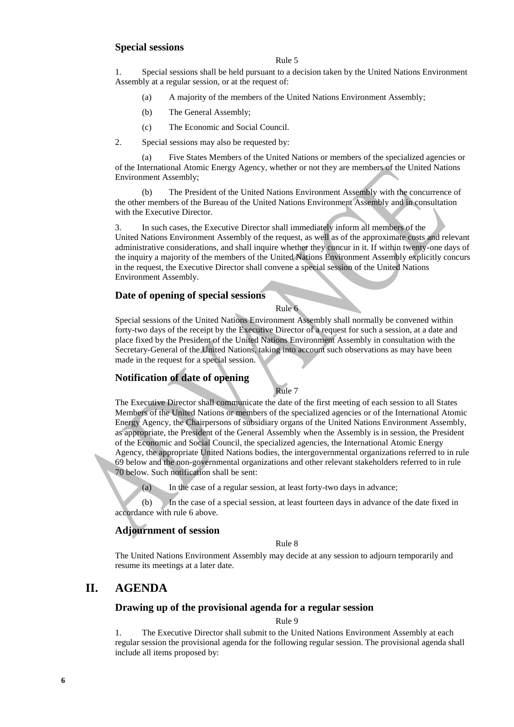## **Special sessions**

#### Rule 5

1. Special sessions shall be held pursuant to a decision taken by the United Nations Environment Assembly at a regular session, or at the request of:

- (a) A majority of the members of the United Nations Environment Assembly;
- (b) The General Assembly;
- (c) The Economic and Social Council.

2. Special sessions may also be requested by:

(a) Five States Members of the United Nations or members of the specialized agencies or of the International Atomic Energy Agency, whether or not they are members of the United Nations Environment Assembly;

(b) The President of the United Nations Environment Assembly with the concurrence of the other members of the Bureau of the United Nations Environment Assembly and in consultation with the Executive Director.

In such cases, the Executive Director shall immediately inform all members of the United Nations Environment Assembly of the request, as well as of the approximate costs and relevant administrative considerations, and shall inquire whether they concur in it. If within twenty-one days of the inquiry a majority of the members of the United Nations Environment Assembly explicitly concurs in the request, the Executive Director shall convene a special session of the United Nations Environment Assembly.

#### **Date of opening of special sessions**

Rule 6

Special sessions of the United Nations Environment Assembly shall normally be convened within forty-two days of the receipt by the Executive Director of a request for such a session, at a date and place fixed by the President of the United Nations Environment Assembly in consultation with the Secretary-General of the United Nations, taking into account such observations as may have been made in the request for a special session.

## **Notification of date of opening**

#### Rule 7

The Executive Director shall communicate the date of the first meeting of each session to all States Members of the United Nations or members of the specialized agencies or of the International Atomic Energy Agency, the Chairpersons of subsidiary organs of the United Nations Environment Assembly, as appropriate, the President of the General Assembly when the Assembly is in session, the President of the Economic and Social Council, the specialized agencies, the International Atomic Energy Agency, the appropriate United Nations bodies, the intergovernmental organizations referred to in rule 69 below and the non-governmental organizations and other relevant stakeholders referred to in rule 70 below. Such notification shall be sent:

(a) In the case of a regular session, at least forty-two days in advance;

(b) In the case of a special session, at least fourteen days in advance of the date fixed in accordance with rule 6 above.

## **Adjournment of session**

#### Rule 8

The United Nations Environment Assembly may decide at any session to adjourn temporarily and resume its meetings at a later date.

## <span id="page-5-0"></span>**II. AGENDA**

#### **Drawing up of the provisional agenda for a regular session**

Rule 9

1. The Executive Director shall submit to the United Nations Environment Assembly at each regular session the provisional agenda for the following regular session. The provisional agenda shall include all items proposed by: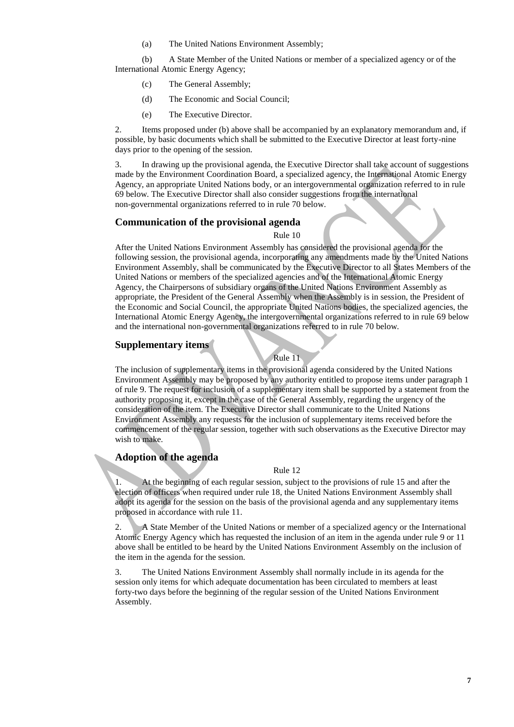(a) The United Nations Environment Assembly;

(b) A State Member of the United Nations or member of a specialized agency or of the International Atomic Energy Agency;

- (c) The General Assembly;
- (d) The Economic and Social Council;
- (e) The Executive Director.

2. Items proposed under (b) above shall be accompanied by an explanatory memorandum and, if possible, by basic documents which shall be submitted to the Executive Director at least forty-nine days prior to the opening of the session.

3. In drawing up the provisional agenda, the Executive Director shall take account of suggestions made by the Environment Coordination Board, a specialized agency, the International Atomic Energy Agency, an appropriate United Nations body, or an intergovernmental organization referred to in rule 69 below. The Executive Director shall also consider suggestions from the international non-governmental organizations referred to in rule 70 below.

### **Communication of the provisional agenda**

Rule 10

After the United Nations Environment Assembly has considered the provisional agenda for the following session, the provisional agenda, incorporating any amendments made by the United Nations Environment Assembly, shall be communicated by the Executive Director to all States Members of the United Nations or members of the specialized agencies and of the International Atomic Energy Agency, the Chairpersons of subsidiary organs of the United Nations Environment Assembly as appropriate, the President of the General Assembly when the Assembly is in session, the President of the Economic and Social Council, the appropriate United Nations bodies, the specialized agencies, the International Atomic Energy Agency, the intergovernmental organizations referred to in rule 69 below and the international non-governmental organizations referred to in rule 70 below.

## **Supplementary items**

Rule 11

The inclusion of supplementary items in the provisional agenda considered by the United Nations Environment Assembly may be proposed by any authority entitled to propose items under paragraph 1 of rule 9. The request for inclusion of a supplementary item shall be supported by a statement from the authority proposing it, except in the case of the General Assembly, regarding the urgency of the consideration of the item. The Executive Director shall communicate to the United Nations Environment Assembly any requests for the inclusion of supplementary items received before the commencement of the regular session, together with such observations as the Executive Director may wish to make.

## **Adoption of the agenda**

#### Rule 12

At the beginning of each regular session, subject to the provisions of rule 15 and after the election of officers when required under rule 18, the United Nations Environment Assembly shall adopt its agenda for the session on the basis of the provisional agenda and any supplementary items proposed in accordance with rule 11.

2. A State Member of the United Nations or member of a specialized agency or the International Atomic Energy Agency which has requested the inclusion of an item in the agenda under rule 9 or 11 above shall be entitled to be heard by the United Nations Environment Assembly on the inclusion of the item in the agenda for the session.

3. The United Nations Environment Assembly shall normally include in its agenda for the session only items for which adequate documentation has been circulated to members at least forty-two days before the beginning of the regular session of the United Nations Environment Assembly.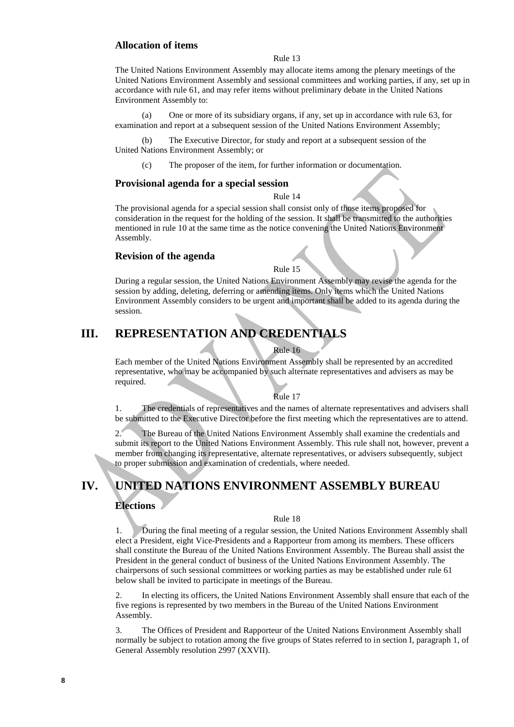## **Allocation of items**

#### Rule 13

The United Nations Environment Assembly may allocate items among the plenary meetings of the United Nations Environment Assembly and sessional committees and working parties, if any, set up in accordance with rule 61, and may refer items without preliminary debate in the United Nations Environment Assembly to:

(a) One or more of its subsidiary organs, if any, set up in accordance with rule 63, for examination and report at a subsequent session of the United Nations Environment Assembly;

(b) The Executive Director, for study and report at a subsequent session of the United Nations Environment Assembly; or

(c) The proposer of the item, for further information or documentation.

#### **Provisional agenda for a special session**

#### Rule 14

The provisional agenda for a special session shall consist only of those items proposed for consideration in the request for the holding of the session. It shall be transmitted to the authorities mentioned in rule 10 at the same time as the notice convening the United Nations Environment Assembly.

#### **Revision of the agenda**

Rule 15

During a regular session, the United Nations Environment Assembly may revise the agenda for the session by adding, deleting, deferring or amending items. Only items which the United Nations Environment Assembly considers to be urgent and important shall be added to its agenda during the session.

## <span id="page-7-0"></span>**III. REPRESENTATION AND CREDENTIALS**

#### Rule 16

Each member of the United Nations Environment Assembly shall be represented by an accredited representative, who may be accompanied by such alternate representatives and advisers as may be required.

#### Rule 17

1. The credentials of representatives and the names of alternate representatives and advisers shall be submitted to the Executive Director before the first meeting which the representatives are to attend.

2. The Bureau of the United Nations Environment Assembly shall examine the credentials and submit its report to the United Nations Environment Assembly. This rule shall not, however, prevent a member from changing its representative, alternate representatives, or advisers subsequently, subject to proper submission and examination of credentials, where needed.

## <span id="page-7-1"></span>**IV. UNITED NATIONS ENVIRONMENT ASSEMBLY BUREAU**

### **Elections**

#### Rule 18

1. During the final meeting of a regular session, the United Nations Environment Assembly shall elect a President, eight Vice-Presidents and a Rapporteur from among its members. These officers shall constitute the Bureau of the United Nations Environment Assembly. The Bureau shall assist the President in the general conduct of business of the United Nations Environment Assembly. The chairpersons of such sessional committees or working parties as may be established under rule 61 below shall be invited to participate in meetings of the Bureau.

2. In electing its officers, the United Nations Environment Assembly shall ensure that each of the five regions is represented by two members in the Bureau of the United Nations Environment Assembly.

3. The Offices of President and Rapporteur of the United Nations Environment Assembly shall normally be subject to rotation among the five groups of States referred to in section I, paragraph 1, of General Assembly resolution 2997 (XXVII).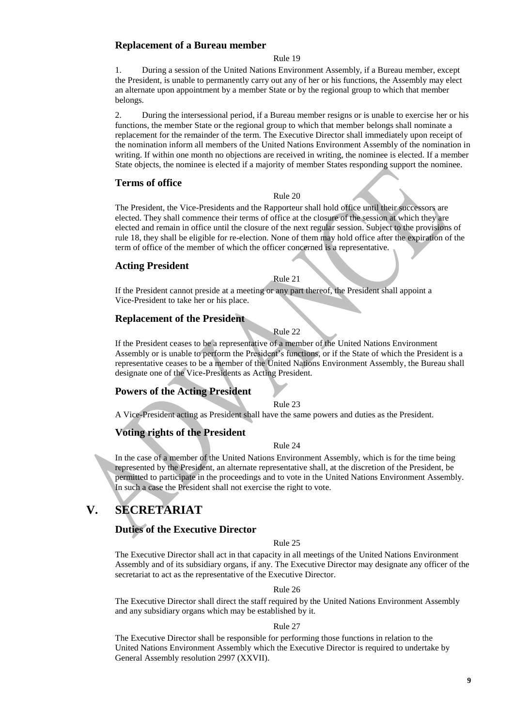## **Replacement of a Bureau member**

#### Rule 19

1. During a session of the United Nations Environment Assembly, if a Bureau member, except the President, is unable to permanently carry out any of her or his functions, the Assembly may elect an alternate upon appointment by a member State or by the regional group to which that member belongs.

2. During the intersessional period, if a Bureau member resigns or is unable to exercise her or his functions, the member State or the regional group to which that member belongs shall nominate a replacement for the remainder of the term. The Executive Director shall immediately upon receipt of the nomination inform all members of the United Nations Environment Assembly of the nomination in writing. If within one month no objections are received in writing, the nominee is elected. If a member State objects, the nominee is elected if a majority of member States responding support the nominee.

## **Terms of office**

### Rule 20

The President, the Vice-Presidents and the Rapporteur shall hold office until their successors are elected. They shall commence their terms of office at the closure of the session at which they are elected and remain in office until the closure of the next regular session. Subject to the provisions of rule 18, they shall be eligible for re-election. None of them may hold office after the expiration of the term of office of the member of which the officer concerned is a representative.

## **Acting President**

### Rule 21

If the President cannot preside at a meeting or any part thereof, the President shall appoint a Vice-President to take her or his place.

## **Replacement of the President**

### Rule 22

If the President ceases to be a representative of a member of the United Nations Environment Assembly or is unable to perform the President's functions, or if the State of which the President is a representative ceases to be a member of the United Nations Environment Assembly, the Bureau shall designate one of the Vice-Presidents as Acting President.

## **Powers of the Acting President**

Rule 23

A Vice-President acting as President shall have the same powers and duties as the President.

## **Voting rights of the President**

Rule 24

In the case of a member of the United Nations Environment Assembly, which is for the time being represented by the President, an alternate representative shall, at the discretion of the President, be permitted to participate in the proceedings and to vote in the United Nations Environment Assembly. In such a case the President shall not exercise the right to vote.

## <span id="page-8-0"></span>**V. SECRETARIAT**

## **Duties of the Executive Director**

## Rule 25

The Executive Director shall act in that capacity in all meetings of the United Nations Environment Assembly and of its subsidiary organs, if any. The Executive Director may designate any officer of the secretariat to act as the representative of the Executive Director.

#### Rule 26

The Executive Director shall direct the staff required by the United Nations Environment Assembly and any subsidiary organs which may be established by it.

## Rule 27

The Executive Director shall be responsible for performing those functions in relation to the United Nations Environment Assembly which the Executive Director is required to undertake by General Assembly resolution 2997 (XXVII).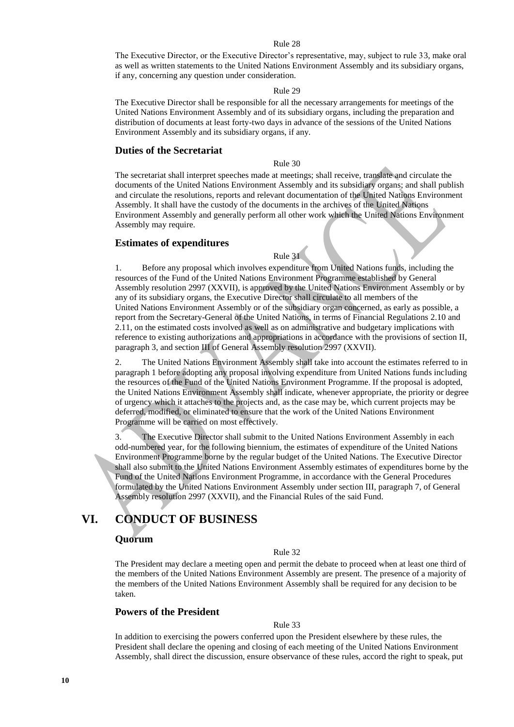#### Rule 28

The Executive Director, or the Executive Director's representative, may, subject to rule 33, make oral as well as written statements to the United Nations Environment Assembly and its subsidiary organs, if any, concerning any question under consideration.

#### Rule 29

The Executive Director shall be responsible for all the necessary arrangements for meetings of the United Nations Environment Assembly and of its subsidiary organs, including the preparation and distribution of documents at least forty-two days in advance of the sessions of the United Nations Environment Assembly and its subsidiary organs, if any.

#### **Duties of the Secretariat**

Rule 30

The secretariat shall interpret speeches made at meetings; shall receive, translate and circulate the documents of the United Nations Environment Assembly and its subsidiary organs; and shall publish and circulate the resolutions, reports and relevant documentation of the United Nations Environment Assembly. It shall have the custody of the documents in the archives of the United Nations Environment Assembly and generally perform all other work which the United Nations Environment Assembly may require.

### **Estimates of expenditures**

#### Rule 31

1. Before any proposal which involves expenditure from United Nations funds, including the resources of the Fund of the United Nations Environment Programme established by General Assembly resolution 2997 (XXVII), is approved by the United Nations Environment Assembly or by any of its subsidiary organs, the Executive Director shall circulate to all members of the United Nations Environment Assembly or of the subsidiary organ concerned, as early as possible, a report from the Secretary-General of the United Nations, in terms of Financial Regulations 2.10 and 2.11, on the estimated costs involved as well as on administrative and budgetary implications with reference to existing authorizations and appropriations in accordance with the provisions of section II, paragraph 3, and section III of General Assembly resolution 2997 (XXVII).

2. The United Nations Environment Assembly shall take into account the estimates referred to in paragraph 1 before adopting any proposal involving expenditure from United Nations funds including the resources of the Fund of the United Nations Environment Programme. If the proposal is adopted, the United Nations Environment Assembly shall indicate, whenever appropriate, the priority or degree of urgency which it attaches to the projects and, as the case may be, which current projects may be deferred, modified, or eliminated to ensure that the work of the United Nations Environment Programme will be carried on most effectively.

3. The Executive Director shall submit to the United Nations Environment Assembly in each odd-numbered year, for the following biennium, the estimates of expenditure of the United Nations Environment Programme borne by the regular budget of the United Nations. The Executive Director shall also submit to the United Nations Environment Assembly estimates of expenditures borne by the Fund of the United Nations Environment Programme, in accordance with the General Procedures formulated by the United Nations Environment Assembly under section III, paragraph 7, of General Assembly resolution 2997 (XXVII), and the Financial Rules of the said Fund.

## <span id="page-9-0"></span>**VI. CONDUCT OF BUSINESS**

#### **Quorum**

#### Rule 32

The President may declare a meeting open and permit the debate to proceed when at least one third of the members of the United Nations Environment Assembly are present. The presence of a majority of the members of the United Nations Environment Assembly shall be required for any decision to be taken.

### **Powers of the President**

#### Rule 33

In addition to exercising the powers conferred upon the President elsewhere by these rules, the President shall declare the opening and closing of each meeting of the United Nations Environment Assembly, shall direct the discussion, ensure observance of these rules, accord the right to speak, put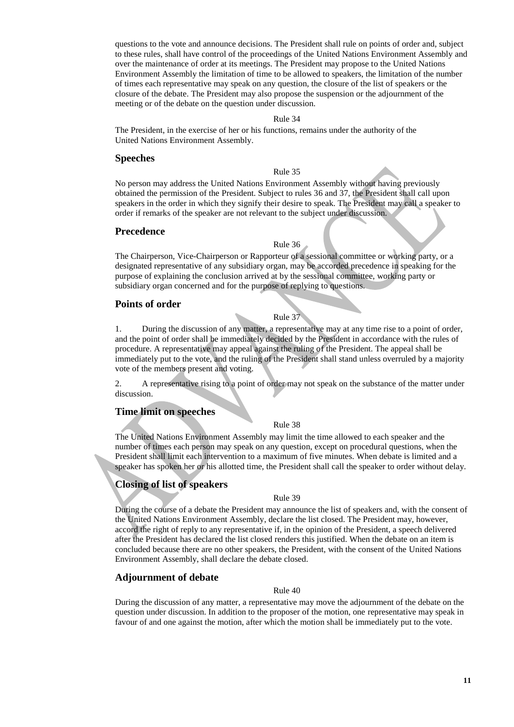questions to the vote and announce decisions. The President shall rule on points of order and, subject to these rules, shall have control of the proceedings of the United Nations Environment Assembly and over the maintenance of order at its meetings. The President may propose to the United Nations Environment Assembly the limitation of time to be allowed to speakers, the limitation of the number of times each representative may speak on any question, the closure of the list of speakers or the closure of the debate. The President may also propose the suspension or the adjournment of the meeting or of the debate on the question under discussion.

#### Rule 34

The President, in the exercise of her or his functions, remains under the authority of the United Nations Environment Assembly.

#### **Speeches**

Rule 35

No person may address the United Nations Environment Assembly without having previously obtained the permission of the President. Subject to rules 36 and 37, the President shall call upon speakers in the order in which they signify their desire to speak. The President may call a speaker to order if remarks of the speaker are not relevant to the subject under discussion.

## **Precedence**

Rule 36

The Chairperson, Vice-Chairperson or Rapporteur of a sessional committee or working party, or a designated representative of any subsidiary organ, may be accorded precedence in speaking for the purpose of explaining the conclusion arrived at by the sessional committee, working party or subsidiary organ concerned and for the purpose of replying to questions.

#### **Points of order**

Rule 37

1. During the discussion of any matter, a representative may at any time rise to a point of order, and the point of order shall be immediately decided by the President in accordance with the rules of procedure. A representative may appeal against the ruling of the President. The appeal shall be immediately put to the vote, and the ruling of the President shall stand unless overruled by a majority vote of the members present and voting.

2. A representative rising to a point of order may not speak on the substance of the matter under discussion.

#### **Time limit on speeches**

Rule 38

The United Nations Environment Assembly may limit the time allowed to each speaker and the number of times each person may speak on any question, except on procedural questions, when the President shall limit each intervention to a maximum of five minutes. When debate is limited and a speaker has spoken her or his allotted time, the President shall call the speaker to order without delay.

## **Closing of list of speakers**

#### Rule 39

During the course of a debate the President may announce the list of speakers and, with the consent of the United Nations Environment Assembly, declare the list closed. The President may, however, accord the right of reply to any representative if, in the opinion of the President, a speech delivered after the President has declared the list closed renders this justified. When the debate on an item is concluded because there are no other speakers, the President, with the consent of the United Nations Environment Assembly, shall declare the debate closed.

#### **Adjournment of debate**

#### Rule 40

During the discussion of any matter, a representative may move the adjournment of the debate on the question under discussion. In addition to the proposer of the motion, one representative may speak in favour of and one against the motion, after which the motion shall be immediately put to the vote.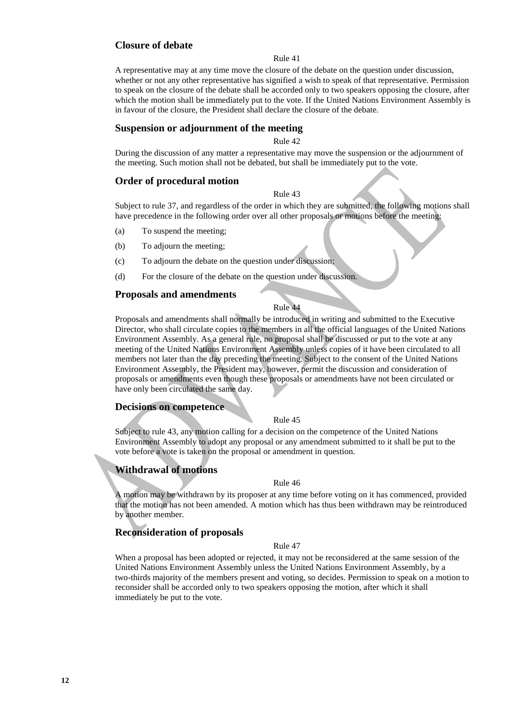## **Closure of debate**

#### Rule 41

A representative may at any time move the closure of the debate on the question under discussion, whether or not any other representative has signified a wish to speak of that representative. Permission to speak on the closure of the debate shall be accorded only to two speakers opposing the closure, after which the motion shall be immediately put to the vote. If the United Nations Environment Assembly is in favour of the closure, the President shall declare the closure of the debate.

## **Suspension or adjournment of the meeting**

#### Rule 42

During the discussion of any matter a representative may move the suspension or the adjournment of the meeting. Such motion shall not be debated, but shall be immediately put to the vote.

## **Order of procedural motion**

#### Rule 43

Subject to rule 37, and regardless of the order in which they are submitted, the following motions shall have precedence in the following order over all other proposals or motions before the meeting:

- (a) To suspend the meeting;
- (b) To adjourn the meeting;
- (c) To adjourn the debate on the question under discussion;
- (d) For the closure of the debate on the question under discussion.

### **Proposals and amendments**

Rule 44

Proposals and amendments shall normally be introduced in writing and submitted to the Executive Director, who shall circulate copies to the members in all the official languages of the United Nations Environment Assembly. As a general rule, no proposal shall be discussed or put to the vote at any meeting of the United Nations Environment Assembly unless copies of it have been circulated to all members not later than the day preceding the meeting. Subject to the consent of the United Nations Environment Assembly, the President may, however, permit the discussion and consideration of proposals or amendments even though these proposals or amendments have not been circulated or have only been circulated the same day.

## **Decisions on competence**

Rule 45

Subject to rule 43, any motion calling for a decision on the competence of the United Nations Environment Assembly to adopt any proposal or any amendment submitted to it shall be put to the vote before a vote is taken on the proposal or amendment in question.

## **Withdrawal of motions**

#### Rule 46

A motion may be withdrawn by its proposer at any time before voting on it has commenced, provided that the motion has not been amended. A motion which has thus been withdrawn may be reintroduced by another member.

## **Reconsideration of proposals**

#### Rule 47

When a proposal has been adopted or rejected, it may not be reconsidered at the same session of the United Nations Environment Assembly unless the United Nations Environment Assembly, by a two-thirds majority of the members present and voting, so decides. Permission to speak on a motion to reconsider shall be accorded only to two speakers opposing the motion, after which it shall immediately be put to the vote.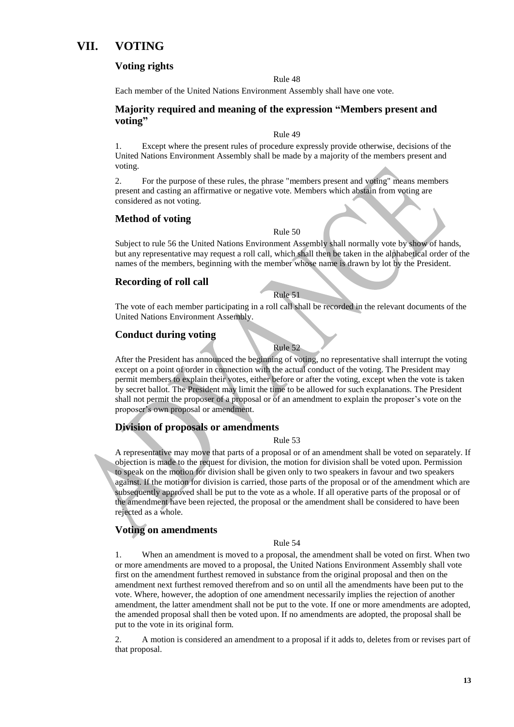## <span id="page-12-0"></span>**VII. VOTING**

## **Voting rights**

Rule 48

Each member of the United Nations Environment Assembly shall have one vote.

## **Majority required and meaning of the expression "Members present and voting"**

#### Rule 49

1. Except where the present rules of procedure expressly provide otherwise, decisions of the United Nations Environment Assembly shall be made by a majority of the members present and voting.

2. For the purpose of these rules, the phrase "members present and voting" means members present and casting an affirmative or negative vote. Members which abstain from voting are considered as not voting.

## **Method of voting**

### Rule 50

Subject to rule 56 the United Nations Environment Assembly shall normally vote by show of hands, but any representative may request a roll call, which shall then be taken in the alphabetical order of the names of the members, beginning with the member whose name is drawn by lot by the President.

## **Recording of roll call**

Rule 51

The vote of each member participating in a roll call shall be recorded in the relevant documents of the United Nations Environment Assembly.

## **Conduct during voting**

Rule 52

After the President has announced the beginning of voting, no representative shall interrupt the voting except on a point of order in connection with the actual conduct of the voting. The President may permit members to explain their votes, either before or after the voting, except when the vote is taken by secret ballot. The President may limit the time to be allowed for such explanations. The President shall not permit the proposer of a proposal or of an amendment to explain the proposer's vote on the proposer's own proposal or amendment.

## **Division of proposals or amendments**

Rule 53

A representative may move that parts of a proposal or of an amendment shall be voted on separately. If objection is made to the request for division, the motion for division shall be voted upon. Permission to speak on the motion for division shall be given only to two speakers in favour and two speakers against. If the motion for division is carried, those parts of the proposal or of the amendment which are subsequently approved shall be put to the vote as a whole. If all operative parts of the proposal or of the amendment have been rejected, the proposal or the amendment shall be considered to have been rejected as a whole.

## **Voting on amendments**

#### Rule 54

1. When an amendment is moved to a proposal, the amendment shall be voted on first. When two or more amendments are moved to a proposal, the United Nations Environment Assembly shall vote first on the amendment furthest removed in substance from the original proposal and then on the amendment next furthest removed therefrom and so on until all the amendments have been put to the vote. Where, however, the adoption of one amendment necessarily implies the rejection of another amendment, the latter amendment shall not be put to the vote. If one or more amendments are adopted, the amended proposal shall then be voted upon. If no amendments are adopted, the proposal shall be put to the vote in its original form.

2. A motion is considered an amendment to a proposal if it adds to, deletes from or revises part of that proposal.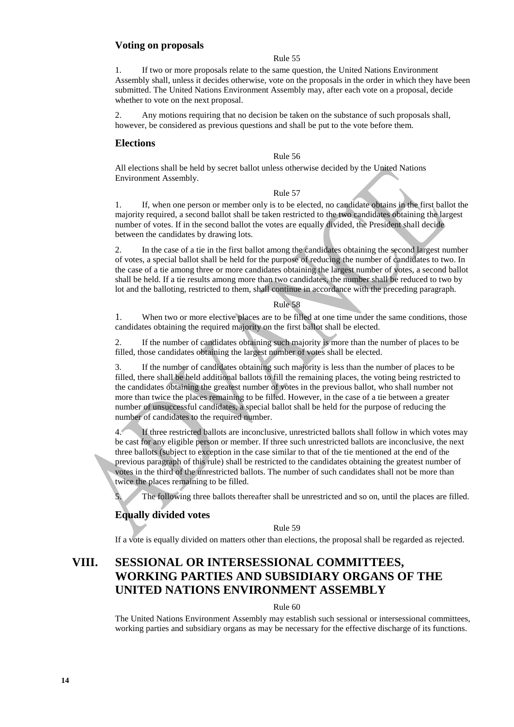### **Voting on proposals**

#### Rule 55

1. If two or more proposals relate to the same question, the United Nations Environment Assembly shall, unless it decides otherwise, vote on the proposals in the order in which they have been submitted. The United Nations Environment Assembly may, after each vote on a proposal, decide whether to vote on the next proposal.

2. Any motions requiring that no decision be taken on the substance of such proposals shall, however, be considered as previous questions and shall be put to the vote before them.

## **Elections**

#### Rule 56

All elections shall be held by secret ballot unless otherwise decided by the United Nations Environment Assembly.

#### Rule 57

1. If, when one person or member only is to be elected, no candidate obtains in the first ballot the majority required, a second ballot shall be taken restricted to the two candidates obtaining the largest number of votes. If in the second ballot the votes are equally divided, the President shall decide between the candidates by drawing lots.

2. In the case of a tie in the first ballot among the candidates obtaining the second largest number of votes, a special ballot shall be held for the purpose of reducing the number of candidates to two. In the case of a tie among three or more candidates obtaining the largest number of votes, a second ballot shall be held. If a tie results among more than two candidates, the number shall be reduced to two by lot and the balloting, restricted to them, shall continue in accordance with the preceding paragraph.

#### Rule 58

1. When two or more elective places are to be filled at one time under the same conditions, those candidates obtaining the required majority on the first ballot shall be elected.

2. If the number of candidates obtaining such majority is more than the number of places to be filled, those candidates obtaining the largest number of votes shall be elected.

3. If the number of candidates obtaining such majority is less than the number of places to be filled, there shall be held additional ballots to fill the remaining places, the voting being restricted to the candidates obtaining the greatest number of votes in the previous ballot, who shall number not more than twice the places remaining to be filled. However, in the case of a tie between a greater number of unsuccessful candidates, a special ballot shall be held for the purpose of reducing the number of candidates to the required number.

4. If three restricted ballots are inconclusive, unrestricted ballots shall follow in which votes may be cast for any eligible person or member. If three such unrestricted ballots are inconclusive, the next three ballots (subject to exception in the case similar to that of the tie mentioned at the end of the previous paragraph of this rule) shall be restricted to the candidates obtaining the greatest number of votes in the third of the unrestricted ballots. The number of such candidates shall not be more than twice the places remaining to be filled.

The following three ballots thereafter shall be unrestricted and so on, until the places are filled.

## **Equally divided votes**

#### Rule 59

If a vote is equally divided on matters other than elections, the proposal shall be regarded as rejected.

## <span id="page-13-0"></span>**VIII. SESSIONAL OR INTERSESSIONAL COMMITTEES, WORKING PARTIES AND SUBSIDIARY ORGANS OF THE UNITED NATIONS ENVIRONMENT ASSEMBLY**

#### Rule 60

The United Nations Environment Assembly may establish such sessional or intersessional committees, working parties and subsidiary organs as may be necessary for the effective discharge of its functions.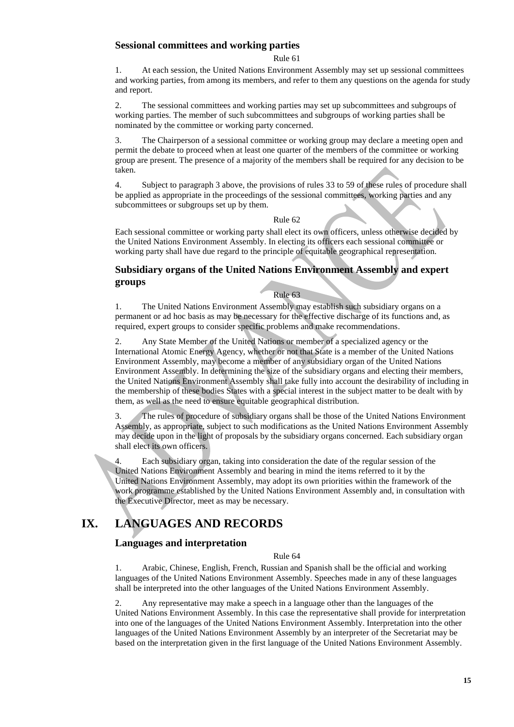## **Sessional committees and working parties**

Rule 61

1. At each session, the United Nations Environment Assembly may set up sessional committees and working parties, from among its members, and refer to them any questions on the agenda for study and report.

2. The sessional committees and working parties may set up subcommittees and subgroups of working parties. The member of such subcommittees and subgroups of working parties shall be nominated by the committee or working party concerned.

3. The Chairperson of a sessional committee or working group may declare a meeting open and permit the debate to proceed when at least one quarter of the members of the committee or working group are present. The presence of a majority of the members shall be required for any decision to be taken.

4. Subject to paragraph 3 above, the provisions of rules 33 to 59 of these rules of procedure shall be applied as appropriate in the proceedings of the sessional committees, working parties and any subcommittees or subgroups set up by them.

#### Rule 62

Each sessional committee or working party shall elect its own officers, unless otherwise decided by the United Nations Environment Assembly. In electing its officers each sessional committee or working party shall have due regard to the principle of equitable geographical representation.

## **Subsidiary organs of the United Nations Environment Assembly and expert groups**

Rule 63

1. The United Nations Environment Assembly may establish such subsidiary organs on a permanent or ad hoc basis as may be necessary for the effective discharge of its functions and, as required, expert groups to consider specific problems and make recommendations.

2. Any State Member of the United Nations or member of a specialized agency or the International Atomic Energy Agency, whether or not that State is a member of the United Nations Environment Assembly, may become a member of any subsidiary organ of the United Nations Environment Assembly. In determining the size of the subsidiary organs and electing their members, the United Nations Environment Assembly shall take fully into account the desirability of including in the membership of these bodies States with a special interest in the subject matter to be dealt with by them, as well as the need to ensure equitable geographical distribution.

3. The rules of procedure of subsidiary organs shall be those of the United Nations Environment Assembly, as appropriate, subject to such modifications as the United Nations Environment Assembly may decide upon in the light of proposals by the subsidiary organs concerned. Each subsidiary organ shall elect its own officers.

4. Each subsidiary organ, taking into consideration the date of the regular session of the United Nations Environment Assembly and bearing in mind the items referred to it by the United Nations Environment Assembly, may adopt its own priorities within the framework of the work programme established by the United Nations Environment Assembly and, in consultation with the Executive Director, meet as may be necessary.

## <span id="page-14-0"></span>**IX. LANGUAGES AND RECORDS**

## **Languages and interpretation**

#### Rule 64

1. Arabic, Chinese, English, French, Russian and Spanish shall be the official and working languages of the United Nations Environment Assembly. Speeches made in any of these languages shall be interpreted into the other languages of the United Nations Environment Assembly.

2. Any representative may make a speech in a language other than the languages of the United Nations Environment Assembly. In this case the representative shall provide for interpretation into one of the languages of the United Nations Environment Assembly. Interpretation into the other languages of the United Nations Environment Assembly by an interpreter of the Secretariat may be based on the interpretation given in the first language of the United Nations Environment Assembly.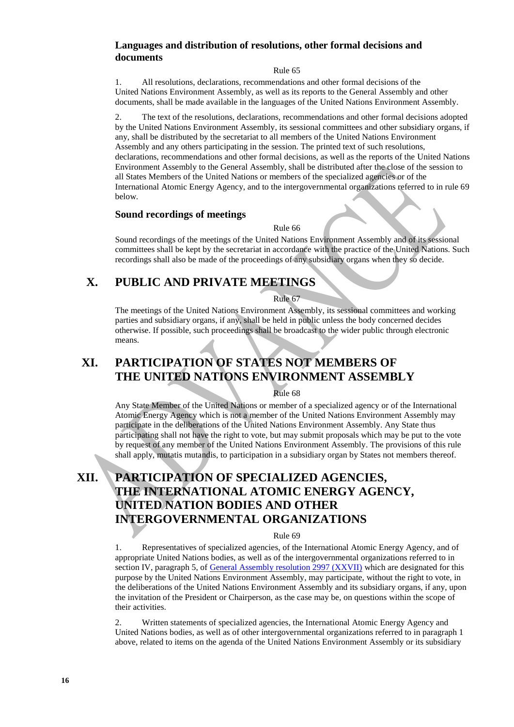## **Languages and distribution of resolutions, other formal decisions and documents**

#### Rule 65

1. All resolutions, declarations, recommendations and other formal decisions of the United Nations Environment Assembly, as well as its reports to the General Assembly and other documents, shall be made available in the languages of the United Nations Environment Assembly.

2. The text of the resolutions, declarations, recommendations and other formal decisions adopted by the United Nations Environment Assembly, its sessional committees and other subsidiary organs, if any, shall be distributed by the secretariat to all members of the United Nations Environment Assembly and any others participating in the session. The printed text of such resolutions, declarations, recommendations and other formal decisions, as well as the reports of the United Nations Environment Assembly to the General Assembly, shall be distributed after the close of the session to all States Members of the United Nations or members of the specialized agencies or of the International Atomic Energy Agency, and to the intergovernmental organizations referred to in rule 69 below.

### **Sound recordings of meetings**

Rule 66

Sound recordings of the meetings of the United Nations Environment Assembly and of its sessional committees shall be kept by the secretariat in accordance with the practice of the United Nations. Such recordings shall also be made of the proceedings of any subsidiary organs when they so decide.

## <span id="page-15-0"></span>**X. PUBLIC AND PRIVATE MEETINGS**

#### Rule 67

The meetings of the United Nations Environment Assembly, its sessional committees and working parties and subsidiary organs, if any, shall be held in public unless the body concerned decides otherwise. If possible, such proceedings shall be broadcast to the wider public through electronic means.

## <span id="page-15-1"></span>**XI. PARTICIPATION OF STATES NOT MEMBERS OF THE UNITED NATIONS ENVIRONMENT ASSEMBLY**

Rule 68

Any State Member of the United Nations or member of a specialized agency or of the International Atomic Energy Agency which is not a member of the United Nations Environment Assembly may participate in the deliberations of the United Nations Environment Assembly. Any State thus participating shall not have the right to vote, but may submit proposals which may be put to the vote by request of any member of the United Nations Environment Assembly. The provisions of this rule shall apply, mutatis mutandis, to participation in a subsidiary organ by States not members thereof.

## <span id="page-15-2"></span>**XII. PARTICIPATION OF SPECIALIZED AGENCIES, THE INTERNATIONAL ATOMIC ENERGY AGENCY, UNITED NATION BODIES AND OTHER INTERGOVERNMENTAL ORGANIZATIONS**

#### Rule 69

1. Representatives of specialized agencies, of the International Atomic Energy Agency, and of appropriate United Nations bodies, as well as of the intergovernmental organizations referred to in section IV, paragraph 5, of [General Assembly resolution 2997 \(XXVII\)](http://www.un-documents.net/a27r2997.htm) which are designated for this purpose by the United Nations Environment Assembly, may participate, without the right to vote, in the deliberations of the United Nations Environment Assembly and its subsidiary organs, if any, upon the invitation of the President or Chairperson, as the case may be, on questions within the scope of their activities.

2. Written statements of specialized agencies, the International Atomic Energy Agency and United Nations bodies, as well as of other intergovernmental organizations referred to in paragraph 1 above, related to items on the agenda of the United Nations Environment Assembly or its subsidiary